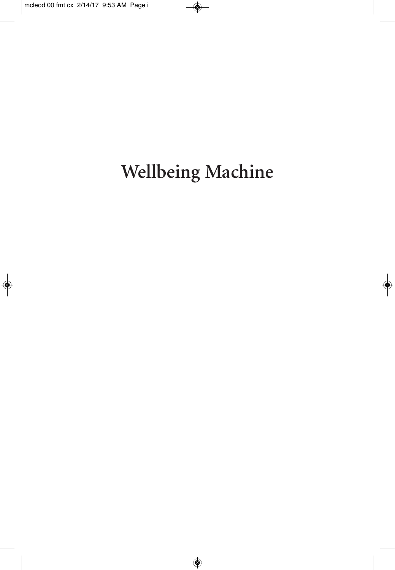# **Wellbeing Machine**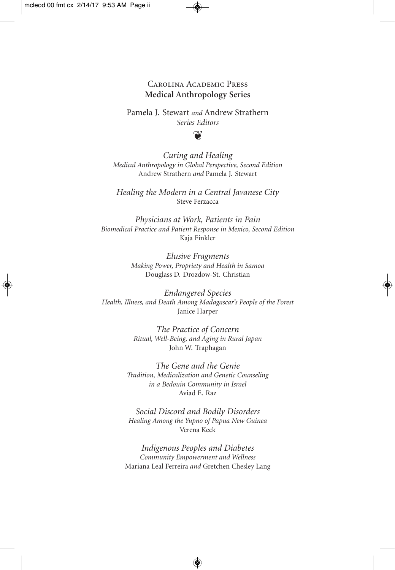#### Carolina Academic Press **Medical Anthropology Series**

Pamela J. Stewart *and* Andrew Strathern *Series Editors*

#### $\mathbf{v}$

*Curing and Healing Medical Anthropology in Global Perspective, Second Edition* Andrew Strathern *and* Pamela J. Stewart

*Healing the Modern in a Central Javanese City* Steve Ferzacca

*Physicians at Work, Patients in Pain Biomedical Practice and Patient Response in Mexico, Second Edition* Kaja Finkler

> *Elusive Fragments Making Power, Propriety and Health in Samoa* Douglass D. Drozdow-St. Christian

*Endangered Species Health, Illness, and Death Among Madagascar's People of the Forest* Janice Harper

> *The Practice of Concern Ritual, Well-Being, and Aging in Rural Japan* John W. Traphagan

*The Gene and the Genie Tradition, Medicalization and Genetic Counseling in a Bedouin Community in Israel* Aviad E. Raz

*Social Discord and Bodily Disorders Healing Among the Yupno of Papua New Guinea* Verena Keck

*Indigenous Peoples and Diabetes Community Empowerment and Wellness* Mariana Leal Ferreira *and* Gretchen Chesley Lang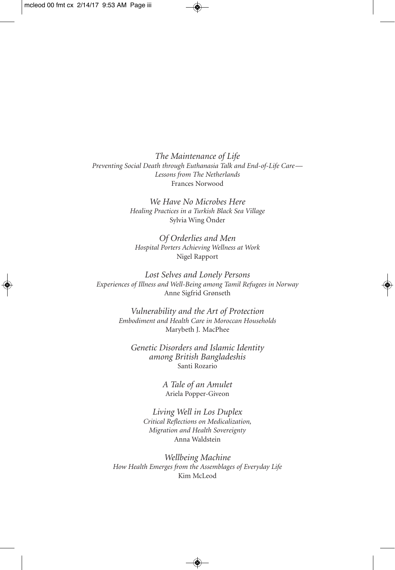*The Maintenance of Life Preventing Social Death through Euthanasia Talk and End-of-Life Care— Lessons from The Netherlands* Frances Norwood

> *We Have No Microbes Here Healing Practices in a Turkish Black Sea Village* Sylvia Wing Önder

*Of Orderlies and Men Hospital Porters Achieving Wellness at Work* Nigel Rapport

*Lost Selves and Lonely Persons Experiences of Illness and Well-Being among Tamil Refugees in Norway* Anne Sigfrid Grønseth

> *Vulnerability and the Art of Protection Embodiment and Health Care in Moroccan Households* Marybeth J. MacPhee

*Genetic Disorders and Islamic Identity among British Bangladeshis* Santi Rozario

> *A Tale of an Amulet* Ariela Popper-Giveon

*Living Well in Los Duplex Critical Reflections on Medicalization, Migration and Health Sovereignty* Anna Waldstein

*Wellbeing Machine How Health Emerges from the Assemblages of Everyday Life* Kim McLeod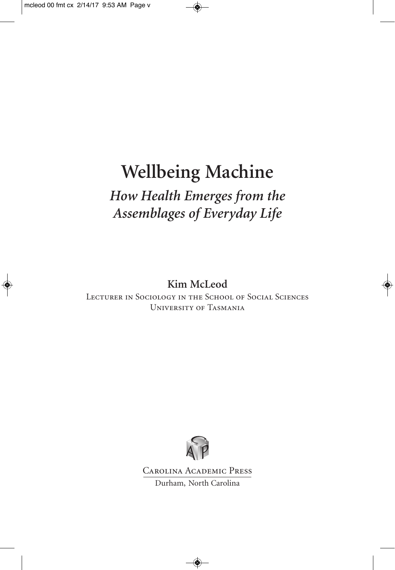# **Wellbeing Machine** *How Health Emerges from the Assemblages of Everyday Life*

**Kim McLeod**

Lecturer in Sociology in the School of Social Sciences University of Tasmania



Carolina Academic Press Durham, North Carolina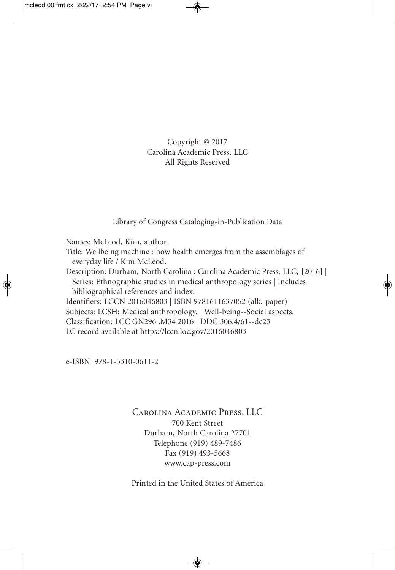Copyright © 2017 Carolina Academic Press, LLC All Rights Reserved

Library of Congress Cataloging-in-Publication Data

Names: McLeod, Kim, author.

Title: Wellbeing machine : how health emerges from the assemblages of everyday life / Kim McLeod.

Description: Durham, North Carolina : Carolina Academic Press, LLC, [2016] | Series: Ethnographic studies in medical anthropology series | Includes bibliographical references and index.

Identifiers: LCCN 2016046803 | ISBN 9781611637052 (alk. paper) Subjects: LCSH: Medical anthropology. | Well-being--Social aspects.

Classification: LCC GN296 .M34 2016 | DDC 306.4/61--dc23

LC record available at https://lccn.loc.gov/2016046803

e-ISBN 978-1-5310-0611-2

Carolina Academic Press, LLC 700 Kent Street Durham, North Carolina 27701 Telephone (919) 489-7486 Fax (919) 493-5668 www.cap-press.com

Printed in the United States of America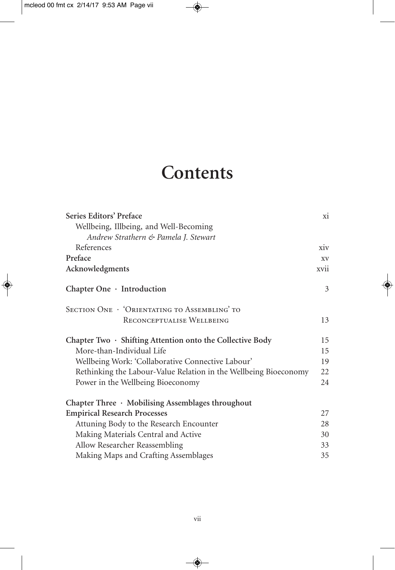## **Contents**

| Series Editors' Preface                                          | xi   |
|------------------------------------------------------------------|------|
| Wellbeing, Illbeing, and Well-Becoming                           |      |
| Andrew Strathern & Pamela J. Stewart                             |      |
| References                                                       | xiv  |
| Preface                                                          | XV   |
| Acknowledgments                                                  | xvii |
| Chapter One $\cdot$ Introduction                                 | 3    |
| SECTION ONE · 'ORIENTATING TO ASSEMBLING' TO                     |      |
| RECONCEPTUALISE WELLBEING                                        | 13   |
| Chapter Two $\cdot$ Shifting Attention onto the Collective Body  | 15   |
| More-than-Individual Life                                        | 15   |
| Wellbeing Work: 'Collaborative Connective Labour'                | 19   |
| Rethinking the Labour-Value Relation in the Wellbeing Bioeconomy | 22   |
| Power in the Wellbeing Bioeconomy                                | 24   |
| Chapter Three $\cdot$ Mobilising Assemblages throughout          |      |
| <b>Empirical Research Processes</b>                              | 27   |
| Attuning Body to the Research Encounter                          | 28   |
| Making Materials Central and Active                              | 30   |
| Allow Researcher Reassembling                                    | 33   |
| Making Maps and Crafting Assemblages                             | 35   |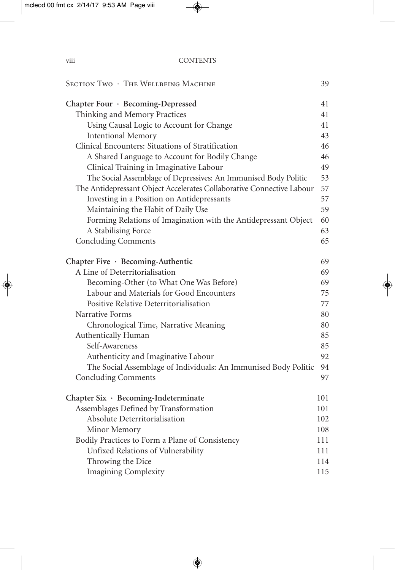| SECTION TWO . THE WELLBEING MACHINE                                   | 39  |
|-----------------------------------------------------------------------|-----|
| Chapter Four · Becoming-Depressed                                     | 41  |
| Thinking and Memory Practices                                         | 41  |
| Using Causal Logic to Account for Change                              | 41  |
| <b>Intentional Memory</b>                                             | 43  |
| Clinical Encounters: Situations of Stratification                     | 46  |
| A Shared Language to Account for Bodily Change                        | 46  |
| Clinical Training in Imaginative Labour                               | 49  |
| The Social Assemblage of Depressives: An Immunised Body Politic       | 53  |
| The Antidepressant Object Accelerates Collaborative Connective Labour | 57  |
| Investing in a Position on Antidepressants                            | 57  |
| Maintaining the Habit of Daily Use                                    | 59  |
| Forming Relations of Imagination with the Antidepressant Object       | 60  |
| A Stabilising Force                                                   | 63  |
| <b>Concluding Comments</b>                                            | 65  |
| Chapter Five · Becoming-Authentic                                     | 69  |
| A Line of Deterritorialisation                                        | 69  |
| Becoming-Other (to What One Was Before)                               | 69  |
| Labour and Materials for Good Encounters                              | 75  |
| Positive Relative Deterritorialisation                                | 77  |
| Narrative Forms                                                       | 80  |
| Chronological Time, Narrative Meaning                                 | 80  |
| Authentically Human                                                   | 85  |
| Self-Awareness                                                        | 85  |
| Authenticity and Imaginative Labour                                   | 92  |
| The Social Assemblage of Individuals: An Immunised Body Politic       | 94  |
| <b>Concluding Comments</b>                                            | 97  |
| Chapter Six · Becoming-Indeterminate                                  | 101 |
| Assemblages Defined by Transformation                                 | 101 |
| Absolute Deterritorialisation                                         | 102 |
| Minor Memory                                                          | 108 |
| Bodily Practices to Form a Plane of Consistency                       | 111 |
| Unfixed Relations of Vulnerability                                    | 111 |
| Throwing the Dice                                                     | 114 |
| <b>Imagining Complexity</b>                                           | 115 |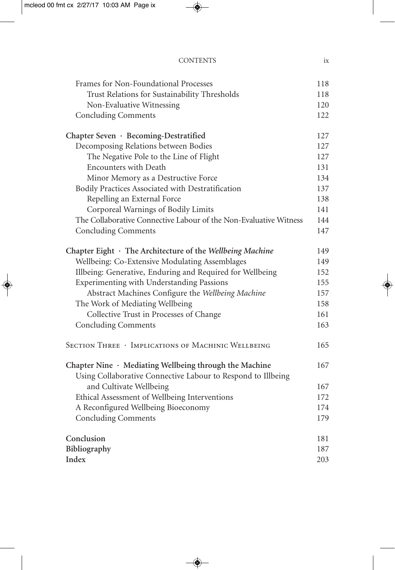| Frames for Non-Foundational Processes                                                                                        | 118 |
|------------------------------------------------------------------------------------------------------------------------------|-----|
| Trust Relations for Sustainability Thresholds                                                                                | 118 |
| Non-Evaluative Witnessing                                                                                                    | 120 |
| <b>Concluding Comments</b>                                                                                                   | 122 |
| Chapter Seven · Becoming-Destratified                                                                                        | 127 |
| Decomposing Relations between Bodies                                                                                         | 127 |
| The Negative Pole to the Line of Flight                                                                                      | 127 |
| <b>Encounters with Death</b>                                                                                                 | 131 |
| Minor Memory as a Destructive Force                                                                                          | 134 |
| Bodily Practices Associated with Destratification                                                                            | 137 |
| Repelling an External Force                                                                                                  | 138 |
| Corporeal Warnings of Bodily Limits                                                                                          | 141 |
| The Collaborative Connective Labour of the Non-Evaluative Witness                                                            | 144 |
| <b>Concluding Comments</b>                                                                                                   | 147 |
| Chapter Eight $\cdot$ The Architecture of the Wellbeing Machine                                                              | 149 |
| Wellbeing: Co-Extensive Modulating Assemblages                                                                               | 149 |
| Illbeing: Generative, Enduring and Required for Wellbeing                                                                    | 152 |
| Experimenting with Understanding Passions                                                                                    | 155 |
| Abstract Machines Configure the Wellbeing Machine                                                                            | 157 |
| The Work of Mediating Wellbeing                                                                                              | 158 |
| Collective Trust in Processes of Change                                                                                      | 161 |
| <b>Concluding Comments</b>                                                                                                   | 163 |
| SECTION THREE · IMPLICATIONS OF MACHINIC WELLBEING                                                                           | 165 |
| Chapter Nine $\cdot$ Mediating Wellbeing through the Machine<br>Using Collaborative Connective Labour to Respond to Illbeing | 167 |
| and Cultivate Wellbeing                                                                                                      | 167 |
| Ethical Assessment of Wellbeing Interventions                                                                                | 172 |
| A Reconfigured Wellbeing Bioeconomy                                                                                          | 174 |
| <b>Concluding Comments</b>                                                                                                   | 179 |
| Conclusion                                                                                                                   | 181 |
| Bibliography                                                                                                                 | 187 |
| Index                                                                                                                        | 203 |

CONTENTS ix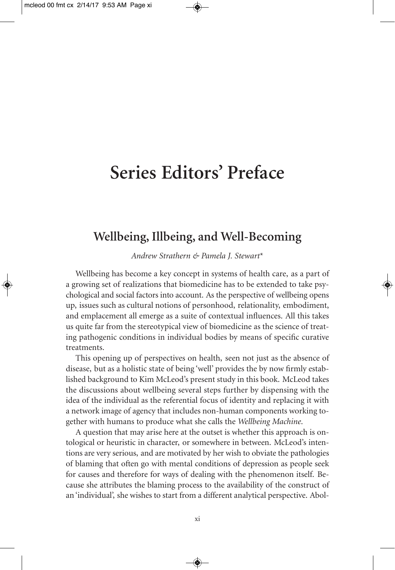### **Series Editors' Preface**

#### **Wellbeing, Illbeing, and Well-Becoming**

*Andrew Strathern & Pamela J. Stewart*\*

Wellbeing has become a key concept in systems of health care, as a part of a growing set of realizations that biomedicine has to be extended to take psychological and social factors into account. As the perspective of wellbeing opens up, issues such as cultural notions of personhood, relationality, embodiment, and emplacement all emerge as a suite of contextual influences. All this takes us quite far from the stereotypical view of biomedicine as the science of treating pathogenic conditions in individual bodies by means of specific curative treatments.

This opening up of perspectives on health, seen not just as the absence of disease, but as a holistic state of being 'well' provides the by now firmly established background to Kim McLeod's present study in this book. McLeod takes the discussions about wellbeing several steps further by dispensing with the idea of the individual as the referential focus of identity and replacing it with a network image of agency that includes non-human components working together with humans to produce what she calls the *Wellbeing Machine*.

A question that may arise here at the outset is whether this approach is ontological or heuristic in character, or somewhere in between. McLeod's intentions are very serious, and are motivated by her wish to obviate the pathologies of blaming that often go with mental conditions of depression as people seek for causes and therefore for ways of dealing with the phenomenon itself. Because she attributes the blaming process to the availability of the construct of an 'individual', she wishes to start from a different analytical perspective. Abol-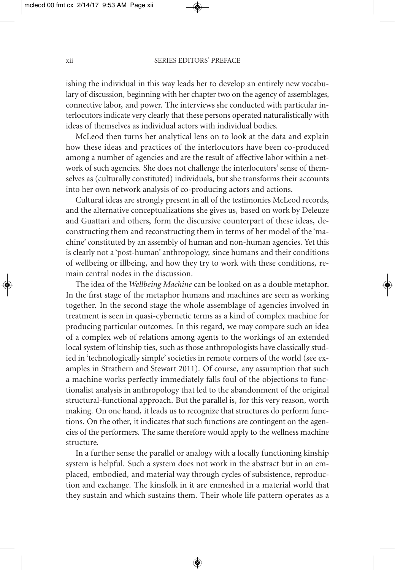ishing the individual in this way leads her to develop an entirely new vocabulary of discussion, beginning with her chapter two on the agency of assemblages, connective labor, and power. The interviews she conducted with particular interlocutors indicate very clearly that these persons operated naturalistically with ideas of themselves as individual actors with individual bodies.

McLeod then turns her analytical lens on to look at the data and explain how these ideas and practices of the interlocutors have been co-produced among a number of agencies and are the result of affective labor within a network of such agencies. She does not challenge the interlocutors'sense of themselves as (culturally constituted) individuals, but she transforms their accounts into her own network analysis of co-producing actors and actions.

Cultural ideas are strongly present in all of the testimonies McLeod records, and the alternative conceptualizations she gives us, based on work by Deleuze and Guattari and others, form the discursive counterpart of these ideas, deconstructing them and reconstructing them in terms of her model of the 'machine' constituted by an assembly of human and non-human agencies. Yet this is clearly not a 'post-human' anthropology, since humans and their conditions of wellbeing or illbeing, and how they try to work with these conditions, remain central nodes in the discussion.

The idea of the *Wellbeing Machine* can be looked on as a double metaphor. In the first stage of the metaphor humans and machines are seen as working together. In the second stage the whole assemblage of agencies involved in treatment is seen in quasi-cybernetic terms as a kind of complex machine for producing particular outcomes. In this regard, we may compare such an idea of a complex web of relations among agents to the workings of an extended local system of kinship ties, such as those anthropologists have classically studied in 'technologically simple'societies in remote corners of the world (see examples in Strathern and Stewart 2011). Of course, any assumption that such a machine works perfectly immediately falls foul of the objections to functionalist analysis in anthropology that led to the abandonment of the original structural-functional approach. But the parallel is, for this very reason, worth making. On one hand, it leads us to recognize that structures do perform functions. On the other, it indicates that such functions are contingent on the agencies of the performers. The same therefore would apply to the wellness machine structure.

In a further sense the parallel or analogy with a locally functioning kinship system is helpful. Such a system does not work in the abstract but in an emplaced, embodied, and material way through cycles of subsistence, reproduction and exchange. The kinsfolk in it are enmeshed in a material world that they sustain and which sustains them. Their whole life pattern operates as a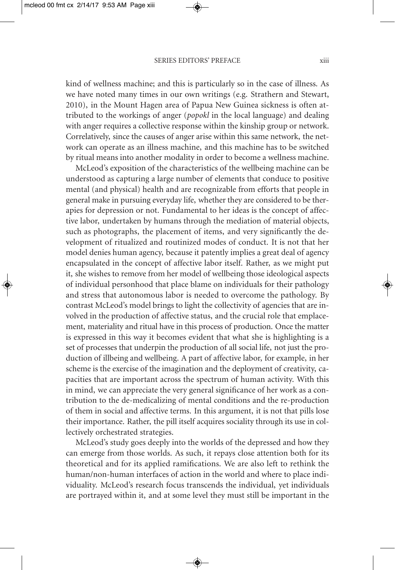kind of wellness machine; and this is particularly so in the case of illness. As we have noted many times in our own writings (e.g. Strathern and Stewart, 2010), in the Mount Hagen area of Papua New Guinea sickness is often attributed to the workings of anger (*popokl* in the local language) and dealing with anger requires a collective response within the kinship group or network. Correlatively, since the causes of anger arise within this same network, the network can operate as an illness machine, and this machine has to be switched by ritual means into another modality in order to become a wellness machine.

McLeod's exposition of the characteristics of the wellbeing machine can be understood as capturing a large number of elements that conduce to positive mental (and physical) health and are recognizable from efforts that people in general make in pursuing everyday life, whether they are considered to be therapies for depression or not. Fundamental to her ideas is the concept of affective labor, undertaken by humans through the mediation of material objects, such as photographs, the placement of items, and very significantly the development of ritualized and routinized modes of conduct. It is not that her model denies human agency, because it patently implies a great deal of agency encapsulated in the concept of affective labor itself. Rather, as we might put it, she wishes to remove from her model of wellbeing those ideological aspects of individual personhood that place blame on individuals for their pathology and stress that autonomous labor is needed to overcome the pathology. By contrast McLeod's model brings to light the collectivity of agencies that are involved in the production of affective status, and the crucial role that emplacement, materiality and ritual have in this process of production. Once the matter is expressed in this way it becomes evident that what she is highlighting is a set of processes that underpin the production of all social life, not just the production of illbeing and wellbeing. A part of affective labor, for example, in her scheme is the exercise of the imagination and the deployment of creativity, capacities that are important across the spectrum of human activity. With this in mind, we can appreciate the very general significance of her work as a contribution to the de-medicalizing of mental conditions and the re-production of them in social and affective terms. In this argument, it is not that pills lose their importance. Rather, the pill itself acquires sociality through its use in collectively orchestrated strategies.

McLeod's study goes deeply into the worlds of the depressed and how they can emerge from those worlds. As such, it repays close attention both for its theoretical and for its applied ramifications. We are also left to rethink the human/non-human interfaces of action in the world and where to place individuality. McLeod's research focus transcends the individual, yet individuals are portrayed within it, and at some level they must still be important in the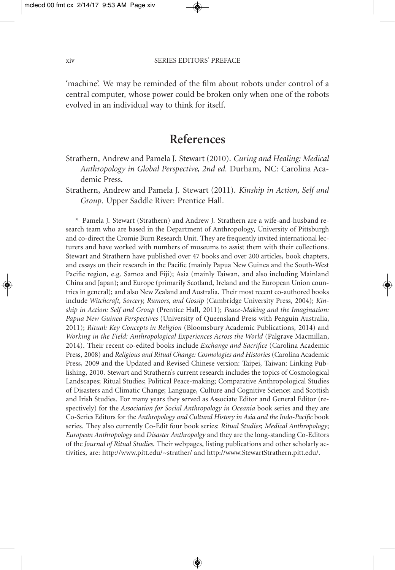'machine'. We may be reminded of the film about robots under control of a central computer, whose power could be broken only when one of the robots evolved in an individual way to think for itself.

#### **References**

- Strathern, Andrew and Pamela J. Stewart (2010). *Curing and Healing: Medical Anthropology in Global Perspective, 2nd ed.* Durham, NC: Carolina Academic Press.
- Strathern, Andrew and Pamela J. Stewart (2011). *Kinship in Action, Self and Group*. Upper Saddle River: Prentice Hall.

\* Pamela J. Stewart (Strathern) and Andrew J. Strathern are a wife-and-husband research team who are based in the Department of Anthropology, University of Pittsburgh and co-direct the Cromie Burn Research Unit. They are frequently invited international lecturers and have worked with numbers of museums to assist them with their collections. Stewart and Strathern have published over 47 books and over 200 articles, book chapters, and essays on their research in the Pacific (mainly Papua New Guinea and the South-West Pacific region, e.g. Samoa and Fiji); Asia (mainly Taiwan, and also including Mainland China and Japan); and Europe (primarily Scotland, Ireland and the European Union countries in general); and also New Zealand and Australia. Their most recent co-authored books include *Witchcraft, Sorcery, Rumors, and Gossip* (Cambridge University Press, 2004); *Kinship in Action: Self and Group* (Prentice Hall, 2011); *Peace-Making and the Imagination: Papua New Guinea Perspectives* (University of Queensland Press with Penguin Australia, 2011); *Ritual: Key Concepts in Religion* (Bloomsbury Academic Publications, 2014) and *Working in the Field: Anthropological Experiences Across the World* (Palgrave Macmillan, 2014). Their recent co-edited books include *Exchange and Sacrifice* (Carolina Academic Press, 2008) and *Religious and Ritual Change: Cosmologies and Histories* (Carolina Academic Press, 2009 and the Updated and Revised Chinese version: Taipei, Taiwan: Linking Publishing, 2010. Stewart and Strathern's current research includes the topics of Cosmological Landscapes; Ritual Studies; Political Peace-making; Comparative Anthropological Studies of Disasters and Climatic Change; Language, Culture and Cognitive Science; and Scottish and Irish Studies. For many years they served as Associate Editor and General Editor (respectively) for the *Association for Social Anthropology in Oceania* book series and they are Co-Series Editors for the *Anthropology and Cultural History in Asia and the Indo-Pacific* book series. They also currently Co-Edit four book series: *Ritual Studies*; *Medical Anthropology*; *European Anthropology* and *Disaster Anthropolgy* and they are the long-standing Co-Editors of the *Journal of Ritual Studies*. Their webpages, listing publications and other scholarly activities, are: http://www.pitt.edu/~strather/ and http://www.StewartStrathern.pitt.edu/.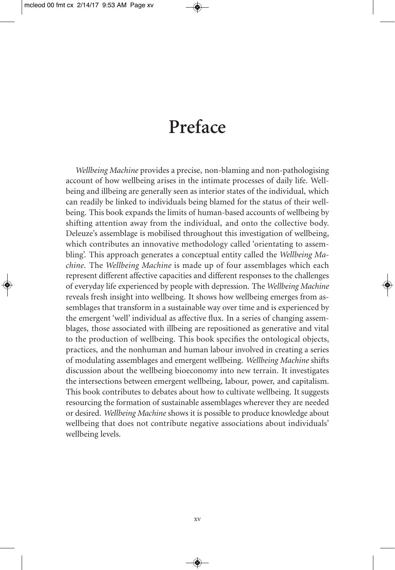## **Preface**

*Wellbeing Machine* provides a precise, non-blaming and non-pathologising account of how wellbeing arises in the intimate processes of daily life. Wellbeing and illbeing are generally seen as interior states of the individual, which can readily be linked to individuals being blamed for the status of their wellbeing. This book expands the limits of human-based accounts of wellbeing by shifting attention away from the individual, and onto the collective body. Deleuze's assemblage is mobilised throughout this investigation of wellbeing, which contributes an innovative methodology called 'orientating to assembling'. This approach generates a conceptual entity called the *Wellbeing Machine*. The *Wellbeing Machine* is made up of four assemblages which each represent different affective capacities and different responses to the challenges of everyday life experienced by people with depression. The *Wellbeing Machine* reveals fresh insight into wellbeing. It shows how wellbeing emerges from assemblages that transform in a sustainable way over time and is experienced by the emergent 'well' individual as affective flux. In a series of changing assemblages, those associated with illbeing are repositioned as generative and vital to the production of wellbeing. This book specifies the ontological objects, practices, and the nonhuman and human labour involved in creating a series of modulating assemblages and emergent wellbeing. *Wellbeing Machine* shifts discussion about the wellbeing bioeconomy into new terrain. It investigates the intersections between emergent wellbeing, labour, power, and capitalism. This book contributes to debates about how to cultivate wellbeing. It suggests resourcing the formation of sustainable assemblages wherever they are needed or desired. *Wellbeing Machine* shows it is possible to produce knowledge about wellbeing that does not contribute negative associations about individuals' wellbeing levels.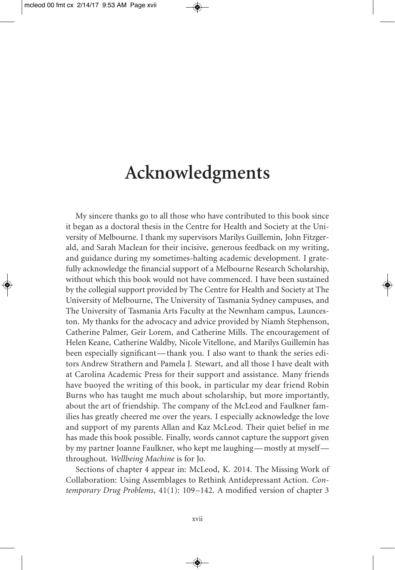#### **Acknowledgments**

My sincere thanks go to all those who have contributed to this book since it began as a doctoral thesis in the Centre for Health and Society at the University of Melbourne. I thank my supervisors Marilys Guillemin, John Fitzgerald, and Sarah Maclean for their incisive, generous feedback on my writing, and guidance during my sometimes-halting academic development. I gratefully acknowledge the financial support of a Melbourne Research Scholarship, without which this book would not have commenced. I have been sustained by the collegial support provided by The Centre for Health and Society at The University of Melbourne, The University of Tasmania Sydney campuses, and The University of Tasmania Arts Faculty at the Newnham campus, Launceston. My thanks for the advocacy and advice provided by Niamh Stephenson, Catherine Palmer, Geir Lorem, and Catherine Mills. The encouragement of Helen Keane, Catherine Waldby, Nicole Vitellone, and Marilys Guillemin has been especially significant—thank you. I also want to thank the series editors Andrew Strathern and Pamela J. Stewart, and all those I have dealt with at Carolina Academic Press for their support and assistance. Many friends have buoyed the writing of this book, in particular my dear friend Robin Burns who has taught me much about scholarship, but more importantly, about the art of friendship. The company of the McLeod and Faulkner families has greatly cheered me over the years. I especially acknowledge the love and support of my parents Allan and Kaz McLeod. Their quiet belief in me has made this book possible. Finally, words cannot capture the support given by my partner Joanne Faulkner, who kept me laughing—mostly at myself throughout. *Wellbeing Machine* is for Jo.

Sections of chapter 4 appear in: McLeod, K. 2014. The Missing Work of Collaboration: Using Assemblages to Rethink Antidepressant Action. *Contemporary Drug Problems*, 41(1): 109–142. A modified version of chapter 3